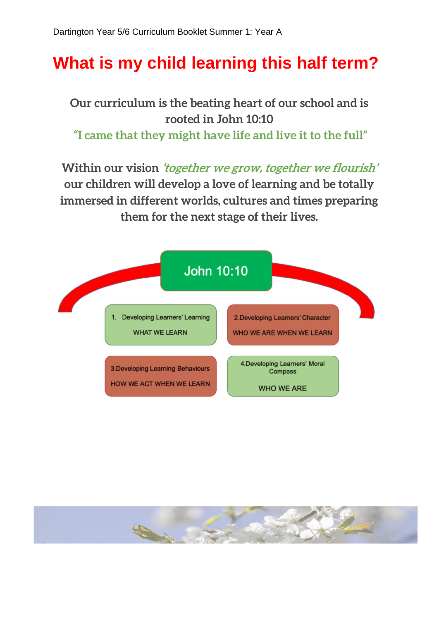## **What is my child learning this half term?**

**Our curriculum is the beating heart of our school and is rooted in John 10:10 "I came that they might have life and live it to the full"**

**Within our vision 'together we grow, together we flourish' our children will develop a love of learning and be totally immersed in different worlds, cultures and times preparing them for the next stage of their lives.**



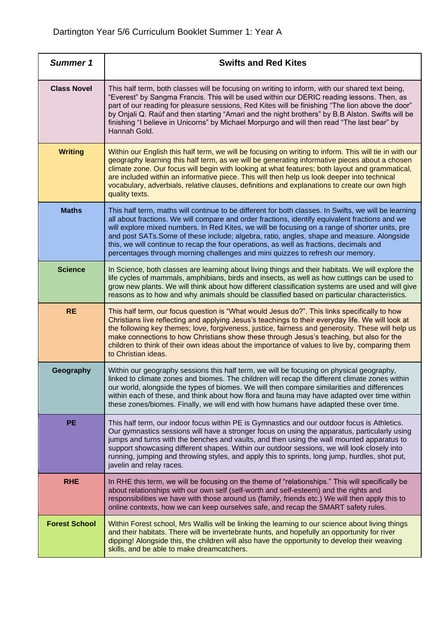| <b>Summer 1</b>      | <b>Swifts and Red Kites</b>                                                                                                                                                                                                                                                                                                                                                                                                                                                                                                                                                         |
|----------------------|-------------------------------------------------------------------------------------------------------------------------------------------------------------------------------------------------------------------------------------------------------------------------------------------------------------------------------------------------------------------------------------------------------------------------------------------------------------------------------------------------------------------------------------------------------------------------------------|
| <b>Class Novel</b>   | This half term, both classes will be focusing on writing to inform, with our shared text being,<br>"Everest" by Sangma Francis. This will be used within our DERIC reading lessons. Then, as<br>part of our reading for pleasure sessions, Red Kites will be finishing "The lion above the door"<br>by Onjali Q. Raúf and then starting "Amari and the night brothers" by B.B Alston. Swifts will be<br>finishing "I believe in Unicorns" by Michael Morpurgo and will then read "The last bear" by<br>Hannah Gold.                                                                 |
| <b>Writing</b>       | Within our English this half term, we will be focusing on writing to inform. This will tie in with our<br>geography learning this half term, as we will be generating informative pieces about a chosen<br>climate zone. Our focus will begin with looking at what features; both layout and grammatical,<br>are included within an informative piece. This will then help us look deeper into technical<br>vocabulary, adverbials, relative clauses, definitions and explanations to create our own high<br>quality texts.                                                         |
| <b>Maths</b>         | This half term, maths will continue to be different for both classes. In Swifts, we will be learning<br>all about fractions. We will compare and order fractions, identify equivalent fractions and we<br>will explore mixed numbers. In Red Kites, we will be focusing on a range of shorter units, pre<br>and post SATs. Some of these include; algebra, ratio, angles, shape and measure. Alongside<br>this, we will continue to recap the four operations, as well as fractions, decimals and<br>percentages through morning challenges and mini quizzes to refresh our memory. |
| <b>Science</b>       | In Science, both classes are learning about living things and their habitats. We will explore the<br>life cycles of mammals, amphibians, birds and insects, as well as how cuttings can be used to<br>grow new plants. We will think about how different classification systems are used and will give<br>reasons as to how and why animals should be classified based on particular characteristics.                                                                                                                                                                               |
| <b>RE</b>            | This half term, our focus question is "What would Jesus do?". This links specifically to how<br>Christians live reflecting and applying Jesus's teachings to their everyday life. We will look at<br>the following key themes; love, forgiveness, justice, fairness and generosity. These will help us<br>make connections to how Christians show these through Jesus's teaching, but also for the<br>children to think of their own ideas about the importance of values to live by, comparing them<br>to Christian ideas.                                                         |
| Geography            | Within our geography sessions this half term, we will be focusing on physical geography,<br>linked to climate zones and biomes. The children will recap the different climate zones within<br>our world, alongside the types of biomes. We will then compare similarities and differences<br>within each of these, and think about how flora and fauna may have adapted over time within<br>these zones/biomes. Finally, we will end with how humans have adapted these over time.                                                                                                  |
| <b>PE</b>            | This half term, our indoor focus within PE is Gymnastics and our outdoor focus is Athletics.<br>Our gymnastics sessions will have a stronger focus on using the apparatus, particularly using<br>jumps and turns with the benches and vaults, and then using the wall mounted apparatus to<br>support showcasing different shapes. Within our outdoor sessions, we will look closely into<br>running, jumping and throwing styles, and apply this to sprints, long jump, hurdles, shot put,<br>javelin and relay races.                                                             |
| <b>RHE</b>           | In RHE this term, we will be focusing on the theme of "relationships." This will specifically be<br>about relationships with our own self (self-worth and self-esteem) and the rights and<br>responsibilities we have with those around us (family, friends etc.) We will then apply this to<br>online contexts, how we can keep ourselves safe, and recap the SMART safety rules.                                                                                                                                                                                                  |
| <b>Forest School</b> | Within Forest school, Mrs Wallis will be linking the learning to our science about living things<br>and their habitats. There will be invertebrate hunts, and hopefully an opportunity for river<br>dipping! Alongside this, the children will also have the opportunity to develop their weaving<br>skills, and be able to make dreamcatchers.                                                                                                                                                                                                                                     |